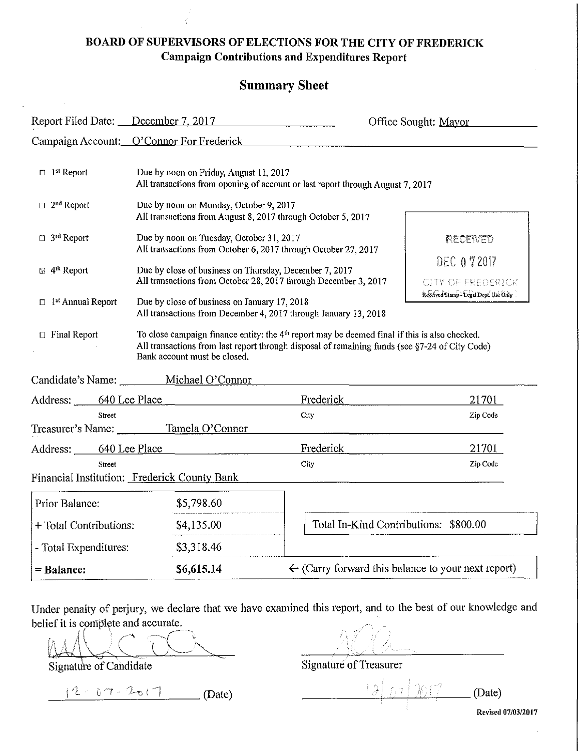### **BOARD OF SUPERVISORS OF ELECTIONS FOR THE CITY OF FREDERICK Campaign Contributions and Expenditures Report**

#### **Summary Sheet**

| Report Filed Date: December 7, 2017                                        |                                                                                                                                                                           |                                                                                                                                                                                                   | Office Sought: Mayor                                       |
|----------------------------------------------------------------------------|---------------------------------------------------------------------------------------------------------------------------------------------------------------------------|---------------------------------------------------------------------------------------------------------------------------------------------------------------------------------------------------|------------------------------------------------------------|
|                                                                            | Campaign Account: O'Connor For Frederick                                                                                                                                  |                                                                                                                                                                                                   |                                                            |
| $\Box$ ist Report                                                          | Due by noon on Friday, August 11, 2017<br>All transactions from opening of account or last report through August 7, 2017                                                  |                                                                                                                                                                                                   |                                                            |
| $\Box$ 2 <sup>nd</sup> Report                                              | Due by noon on Monday, October 9, 2017<br>All transactions from August 8, 2017 through October 5, 2017                                                                    |                                                                                                                                                                                                   |                                                            |
| $\Box$ 3 <sup>rd</sup> Report                                              | Due by noon on Tuesday, October 31, 2017<br>All transactions from October 6, 2017 through October 27, 2017                                                                |                                                                                                                                                                                                   | RECENED<br><b>DEC 072017</b>                               |
| $\boxtimes$ 4 <sup>th</sup> Report<br>$\Box$ 1 <sup>st</sup> Annual Report | Due by close of business on Thursday, December 7, 2017<br>All transactions from October 28, 2017 through December 3, 2017<br>Due by close of business on January 17, 2018 |                                                                                                                                                                                                   | CITY OF FREDERICK<br>Received Stamp - Legal Dept. Use Only |
| $\Box$ Final Report                                                        | All transactions from December 4, 2017 through January 13, 2018<br>Bank account must be closed.                                                                           | To close campaign finance entity: the $4th$ report may be deemed final if this is also checked.<br>All transactions from last report through disposal of remaining funds (see §7-24 of City Code) |                                                            |
|                                                                            | Candidate's Name: Michael O'Connor                                                                                                                                        |                                                                                                                                                                                                   |                                                            |
| Address: 640 Lee Place                                                     |                                                                                                                                                                           | Frederick                                                                                                                                                                                         | 21701                                                      |
| Street                                                                     | Treasurer's Name: Tamela O'Connor                                                                                                                                         | City                                                                                                                                                                                              | Zip Code                                                   |
| Address: 640 Lee Place                                                     |                                                                                                                                                                           | Frederick                                                                                                                                                                                         | 21701                                                      |
| Street                                                                     | Financial Institution: Frederick County Bank                                                                                                                              | <b>City</b>                                                                                                                                                                                       | Zip Code                                                   |
| Prior Balance:                                                             | \$5,798.60                                                                                                                                                                |                                                                                                                                                                                                   |                                                            |
| \$4,135.00<br>+ Total Contributions:                                       |                                                                                                                                                                           | Total In-Kind Contributions: \$800.00                                                                                                                                                             |                                                            |
| - Total Expenditures:                                                      | \$3,318.46                                                                                                                                                                |                                                                                                                                                                                                   |                                                            |
| $=$ Balance:                                                               | \$6,615.14                                                                                                                                                                | $\leftarrow$ (Carry forward this balance to your next report)                                                                                                                                     |                                                            |

Under penalty of perjury, we declare that we have examined this report, and to the best of our knowledge and belief it is complete and accurate.

 $\mathbb{M}\mathbb{N}$ 

 $-12 - 07 - 2017$  (Date)  $-127 - 121$  (Date)

Signature of Candidate Signature of Treasurer

**Re\'ised 07/0312017**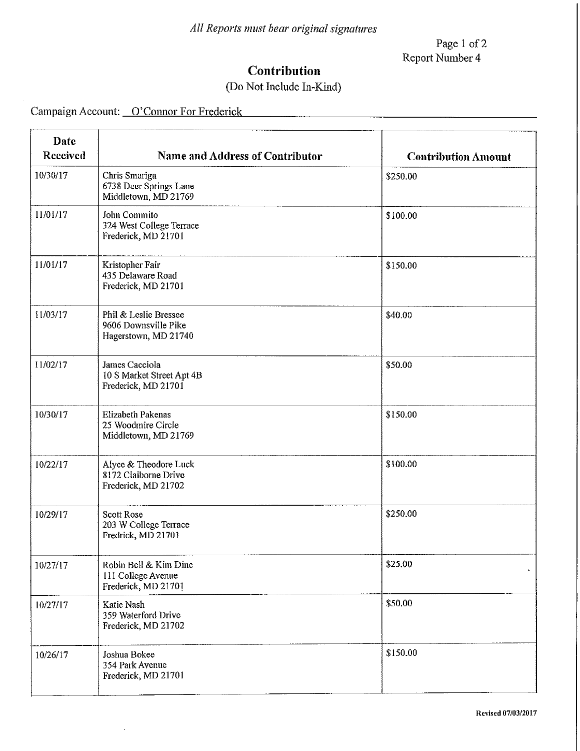Page 1 of 2 Report Number 4

## **Contribution**

## (Do Not Include In-Kind)

Campaign Account: <u>O'Connor For Frederick</u>

| Date<br>Received | <b>Name and Address of Contributor</b>                                 | <b>Contribution Amount</b> |
|------------------|------------------------------------------------------------------------|----------------------------|
| 10/30/17         | Chris Smariga<br>6738 Deer Springs Lane<br>Middletown, MD 21769        | \$250.00                   |
| 11/01/17         | John Commito<br>324 West College Terrace<br>Frederick, MD 21701        | \$100.00                   |
| 11/01/17         | Kristopher Fair<br>435 Delaware Road<br>Frederick, MD 21701            | \$150.00                   |
| 11/03/17         | Phil & Leslie Bressee<br>9606 Downsville Pike<br>Hagerstown, MD 21740  | \$40.00                    |
| 11/02/17         | James Cacciola<br>10 S Market Street Apt 4B<br>Frederick, MD 21701     | \$50.00                    |
| 10/30/17         | <b>Elizabeth Pakenas</b><br>25 Woodmire Circle<br>Middletown, MD 21769 | \$150.00                   |
| 10/22/17         | Alyce & Theodore Luck<br>8172 Claiborne Drive<br>Frederick, MD 21702   | \$100.00                   |
| 10/29/17         | <b>Scott Rose</b><br>203 W College Terrace<br>Fredrick, MD 21701       | \$250.00                   |
| 10/27/17         | Robin Bell & Kim Dine<br>111 College Avenue<br>Frederick, MD 21701     | \$25.00<br>$\bullet$       |
| 10/27/17         | Katie Nash<br>359 Waterford Drive<br>Frederick, MD 21702               | \$50.00                    |
| 10/26/17         | Joshua Bokee<br>354 Park Avenue<br>Frederick, MD 21701                 | \$150.00                   |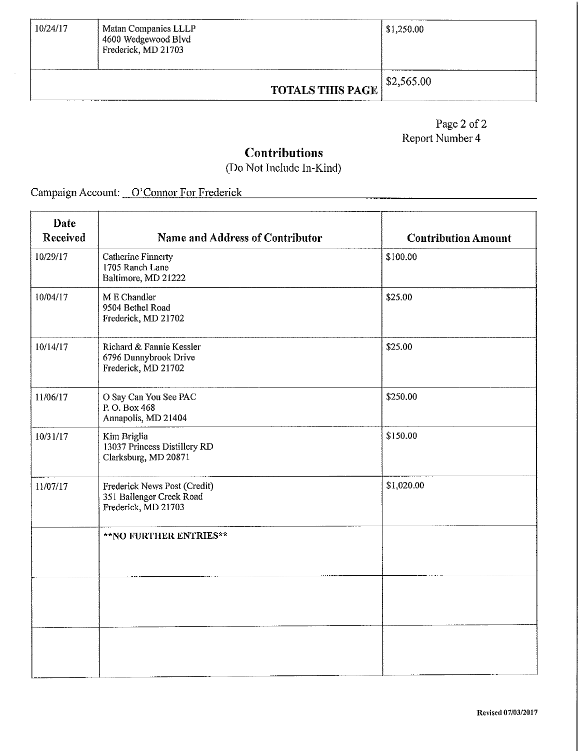| 10/24/17<br>Matan Companies LLLP<br>14600 Wedgewood Blvd<br>Frederick, MD 21703 |  | \$1,250.00              |                |
|---------------------------------------------------------------------------------|--|-------------------------|----------------|
|                                                                                 |  | <b>TOTALS THIS PAGE</b> | $1$ \$2,565.00 |

Page 2 of  $2$ Report Number 4

## **Contributions**

(Do Not Include In-Kind)

Campaign Account: O'Connor For Frederick Campaign Account: O'Connor For Frederick

| Date<br>Received | Name and Address of Contributor                                                 | <b>Contribution Amount</b> |
|------------------|---------------------------------------------------------------------------------|----------------------------|
| 10/29/17         | <b>Catherine Finnerty</b><br>1705 Ranch Lane<br>Baltimore, MD 21222             | \$100.00                   |
| 10/04/17         | M E Chandler<br>9504 Bethel Road<br>Frederick, MD 21702                         | \$25.00                    |
| 10/14/17         | Richard & Fannie Kessler<br>6796 Dunnybrook Drive<br>Frederick, MD 21702        | \$25.00                    |
| 11/06/17         | O Say Can You See PAC<br>P.O. Box 468<br>Annapolis, MD 21404                    | \$250.00                   |
| 10/31/17         | Kim Briglia<br>13037 Princess Distillery RD<br>Clarksburg, MD 20871             | \$150.00                   |
| 11/07/17         | Frederick News Post (Credit)<br>351 Ballenger Creek Road<br>Frederick, MD 21703 | \$1,020.00                 |
|                  | **NO FURTHER ENTRIES**                                                          |                            |
|                  |                                                                                 |                            |
|                  |                                                                                 |                            |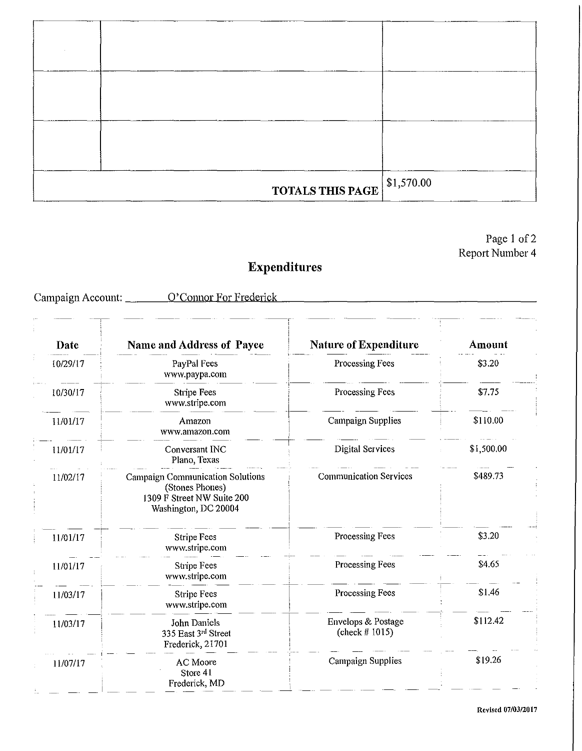|                         | \$1,570.00 |
|-------------------------|------------|
|                         |            |
| <b>TOTALS THIS PAGE</b> |            |
|                         |            |
|                         |            |
|                         |            |

#### Page 1 of 2 Report Number 4

# **Expenditures**

Campaign Account: \_\_\_\_\_\_\_ O'Connor For Frederick

| Date     | Name and Address of Payee                                                                                        | <b>Nature of Expenditure</b>            | Amount     |
|----------|------------------------------------------------------------------------------------------------------------------|-----------------------------------------|------------|
| 10/29/17 | PayPal Fees<br>www.paypa.com                                                                                     | Processing Fees                         | \$3.20     |
| 10/30/17 | <b>Stripe Fees</b><br>www.stripe.com                                                                             | Processing Fees                         | \$7.75     |
| 11/01/17 | Amazon<br>www.amazon.com                                                                                         | Campaign Supplies                       | \$110.00   |
| 11/01/17 | Conversant INC<br>Plano, Texas                                                                                   | <b>Digital Services</b>                 | \$1,500.00 |
| 11/02/17 | <b>Campaign Communication Solutions</b><br>(Stones Phones)<br>1309 F Street NW Suite 200<br>Washington, DC 20004 | <b>Communication Services</b>           | \$489.73   |
| 11/01/17 | <b>Stripe Fees</b><br>www.stripe.com                                                                             | Processing Fees                         | \$3.20     |
| 11/01/17 | Stripe Fees<br>www.stripe.com                                                                                    | Processing Fees                         | \$4.65     |
| 11/03/17 | <b>Stripe Fees</b><br>www.stripe.com                                                                             | Processing Fees                         | \$1.46     |
| 11/03/17 | John Daniels<br>335 East 3rd Street<br>Frederick, 21701                                                          | Envelops & Postage<br>(check $# 1015$ ) | \$112.42   |
| 11/07/17 | <b>AC</b> Moore<br>Store 41<br>Frederick, MD                                                                     | <b>Campaign Supplies</b>                | \$19.26    |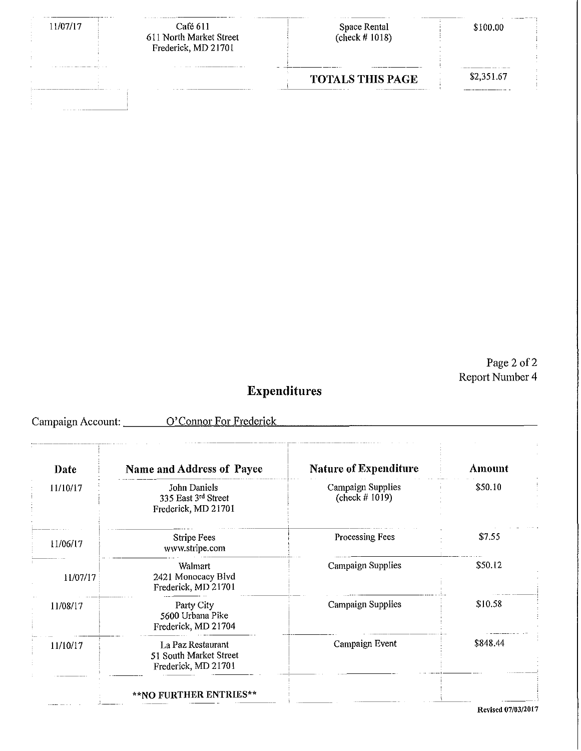| 1/07/17                                                                                                              | Café 611<br>611 North Market Street<br>Frederick, MD 21701 | .<br>Space Rental<br>(check # $1018$ ) | \$100.00   |
|----------------------------------------------------------------------------------------------------------------------|------------------------------------------------------------|----------------------------------------|------------|
| The first that the second control of the property of the property of the property of the property of the property of |                                                            | <b>TOTALS THIS PAGE</b>                | \$2.351.67 |
| .                                                                                                                    |                                                            |                                        |            |

Page 2 of 2 Report Number 4

# **Expenditures**

Campaign Account: \_\_\_\_\_\_\_ O'Connor For Frederick \_\_\_\_\_\_\_\_\_\_\_\_\_\_\_\_\_\_\_\_\_\_\_\_\_\_\_\_\_\_\_\_

| Date     | Name and Address of Payee                                          | <b>Nature of Expenditure</b>           | Amount   |
|----------|--------------------------------------------------------------------|----------------------------------------|----------|
| 11/10/17 | John Daniels<br>335 East 3rd Street<br>Frederick, MD 21701         | Campaign Supplies<br>(check $# 1019$ ) | \$50.10  |
| 11/06/17 | Stripe Fees<br>www.stripe.com                                      | Processing Fees                        | \$7.55   |
| 11/07/17 | Walmart<br>2421 Monocacy Blvd<br>Frederick, MD 21701               | Campaign Supplies                      | \$50.12  |
| 11/08/17 | Party City<br>5600 Urbana Pike<br>Frederick, MD 21704              | <b>Campaign Supplies</b>               | \$10.58  |
| 11/10/17 | La Paz Restaurant<br>51 South Market Street<br>Frederick, MD 21701 | Campaign Event                         | \$848.44 |

**Revised 07/03/2017**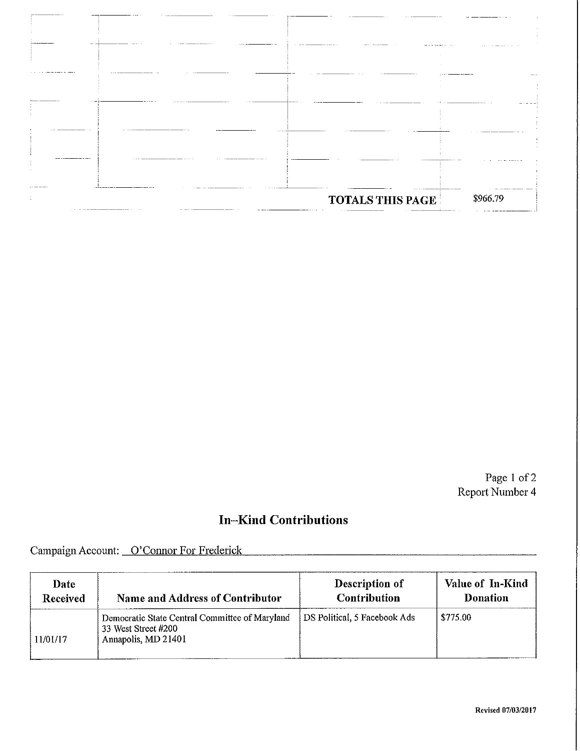| ----------              |          |
|-------------------------|----------|
|                         |          |
|                         |          |
|                         |          |
|                         |          |
|                         |          |
| <b>TOTALS THIS PAGE</b> | \$966.79 |

Page 1 of 2 Report Number 4

## **In-Kind Contributions**

Campaign Account: O'Connor For Frederick

| Date     | <b>Name and Address of Contributor</b>                                                       | Description of               | Value of In-Kind |
|----------|----------------------------------------------------------------------------------------------|------------------------------|------------------|
| Received |                                                                                              | <b>Contribution</b>          | <b>Donation</b>  |
| 11/01/17 | Democratic State Central Committee of Maryland<br>33 West Street #200<br>Annapolis, MD 21401 | DS Political, 5 Facebook Ads | \$775.00         |